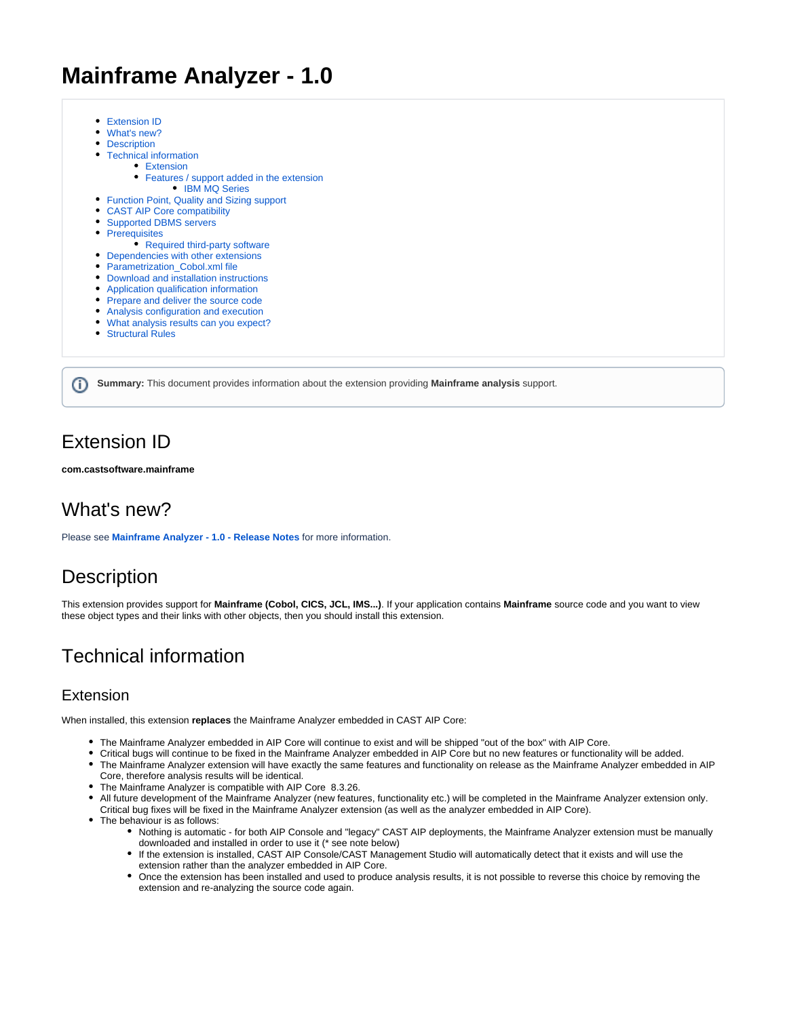# **Mainframe Analyzer - 1.0**

- [Extension ID](#page-0-0)
- [What's new?](#page-0-1)
- [Description](#page-0-2)
- [Technical information](#page-0-3)
	- [Extension](#page-0-4)
		- [Features / support added in the extension](#page-1-0)
- [IBM MQ Series](#page-1-1) • [Function Point, Quality and Sizing support](#page-2-0)
- [CAST AIP Core compatibility](#page-3-0)
- [Supported DBMS servers](#page-3-1)
- [Prerequisites](#page-3-2)
- [Required third-party software](#page-3-3)
- [Dependencies with other extensions](#page-3-4)
- [Parametrization\\_Cobol.xml file](#page-3-5)
- [Download and installation instructions](#page-3-6)
- [Application qualification information](#page-3-7)
- [Prepare and deliver the source code](#page-3-8)
- [Analysis configuration and execution](#page-3-9)
- [What analysis results can you expect?](#page-4-0)
- [Structural Rules](#page-4-1)

**Summary:** This document provides information about the extension providing **Mainframe analysis** support.G)

### <span id="page-0-0"></span>Extension ID

**com.castsoftware.mainframe**

## <span id="page-0-1"></span>What's new?

Please see **[Mainframe Analyzer - 1.0 - Release Notes](https://doc.castsoftware.com/display/TECHNOS/Mainframe+Analyzer+-+1.0+-+Release+Notes)** for more information.

# <span id="page-0-2"></span>**Description**

This extension provides support for **Mainframe (Cobol, CICS, JCL, IMS...)**. If your application contains **Mainframe** source code and you want to view these object types and their links with other objects, then you should install this extension.

## <span id="page-0-3"></span>Technical information

#### <span id="page-0-4"></span>Extension

When installed, this extension **replaces** the Mainframe Analyzer embedded in CAST AIP Core:

- The Mainframe Analyzer embedded in AIP Core will continue to exist and will be shipped "out of the box" with AIP Core.
- Critical bugs will continue to be fixed in the Mainframe Analyzer embedded in AIP Core but no new features or functionality will be added. The Mainframe Analyzer extension will have exactly the same features and functionality on release as the Mainframe Analyzer embedded in AIP
- Core, therefore analysis results will be identical.
- The Mainframe Analyzer is compatible with AIP Core 8.3.26.
- All future development of the Mainframe Analyzer (new features, functionality etc.) will be completed in the Mainframe Analyzer extension only.
- Critical bug fixes will be fixed in the Mainframe Analyzer extension (as well as the analyzer embedded in AIP Core).
- The behaviour is as follows:
	- Nothing is automatic for both AIP Console and "legacy" CAST AIP deployments, the Mainframe Analyzer extension must be manually downloaded and installed in order to use it (\* see note below)
	- $\bullet$ If the extension is installed, CAST AIP Console/CAST Management Studio will automatically detect that it exists and will use the extension rather than the analyzer embedded in AIP Core.
	- Once the extension has been installed and used to produce analysis results, it is not possible to reverse this choice by removing the extension and re-analyzing the source code again.

⋒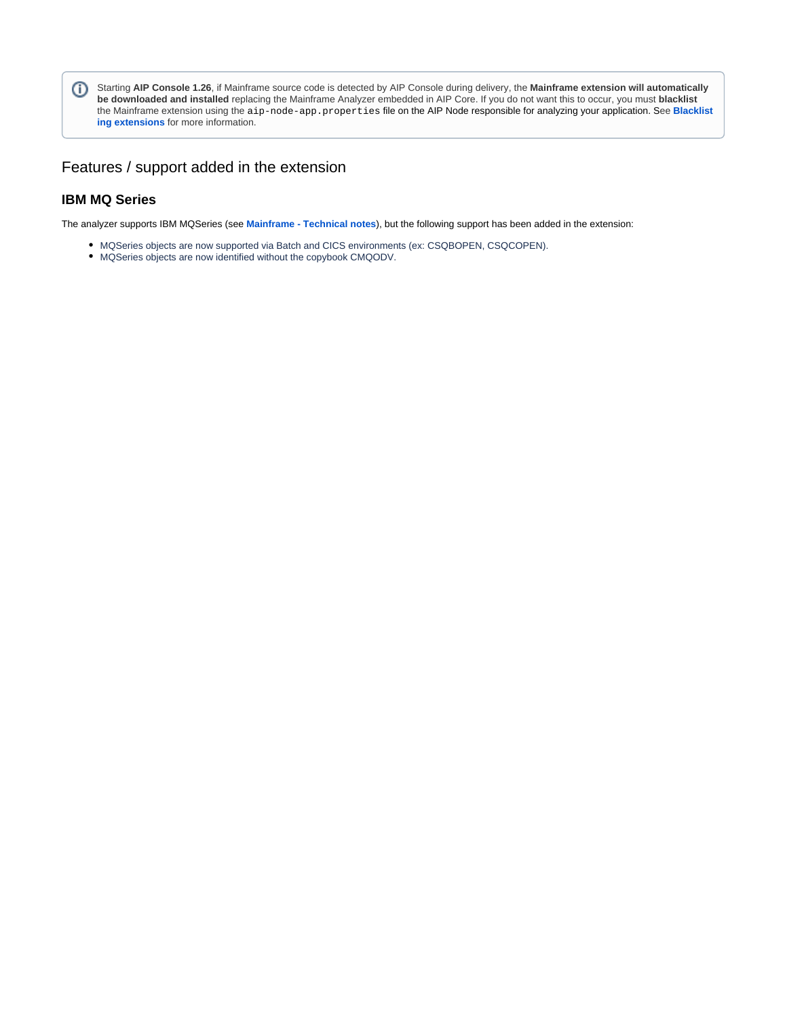Starting **AIP Console 1.26**, if Mainframe source code is detected by AIP Console during delivery, the **Mainframe extension will automatically be downloaded and installed** replacing the Mainframe Analyzer embedded in AIP Core. If you do not want this to occur, you must **blacklist** the Mainframe extension using the aip-node-app.properties file on the AIP Node responsible for analyzing your application. See **[Blacklist](https://doc.castsoftware.com/display/AIPCONSOLE/Blacklisting+extensions) [ing extensions](https://doc.castsoftware.com/display/AIPCONSOLE/Blacklisting+extensions)** for more information.

#### <span id="page-1-0"></span>Features / support added in the extension

#### <span id="page-1-1"></span>**IBM MQ Series**

The analyzer supports IBM MQSeries (see **[Mainframe - Technical notes](https://doc.castsoftware.com/display/TECHNOS/Mainframe+-+Technical+notes)**), but the following support has been added in the extension:

- MQSeries objects are now supported via Batch and CICS environments (ex: CSQBOPEN, CSQCOPEN).
- MQSeries objects are now identified without the copybook CMQODV.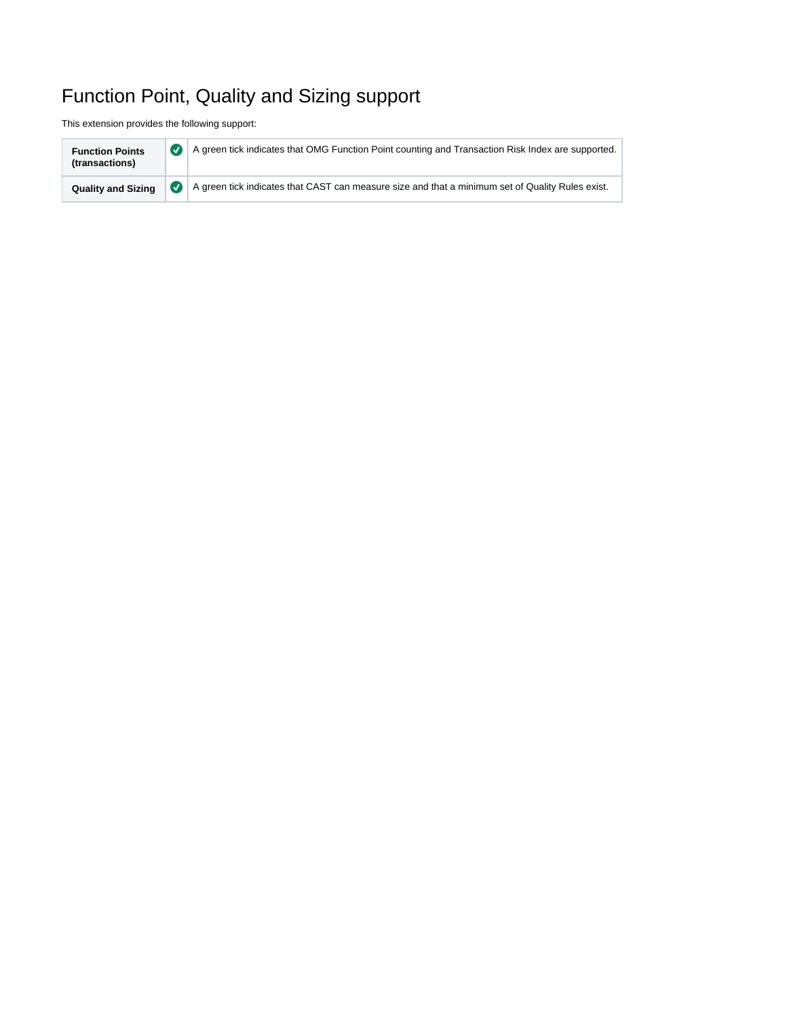# <span id="page-2-0"></span>Function Point, Quality and Sizing support

This extension provides the following support:

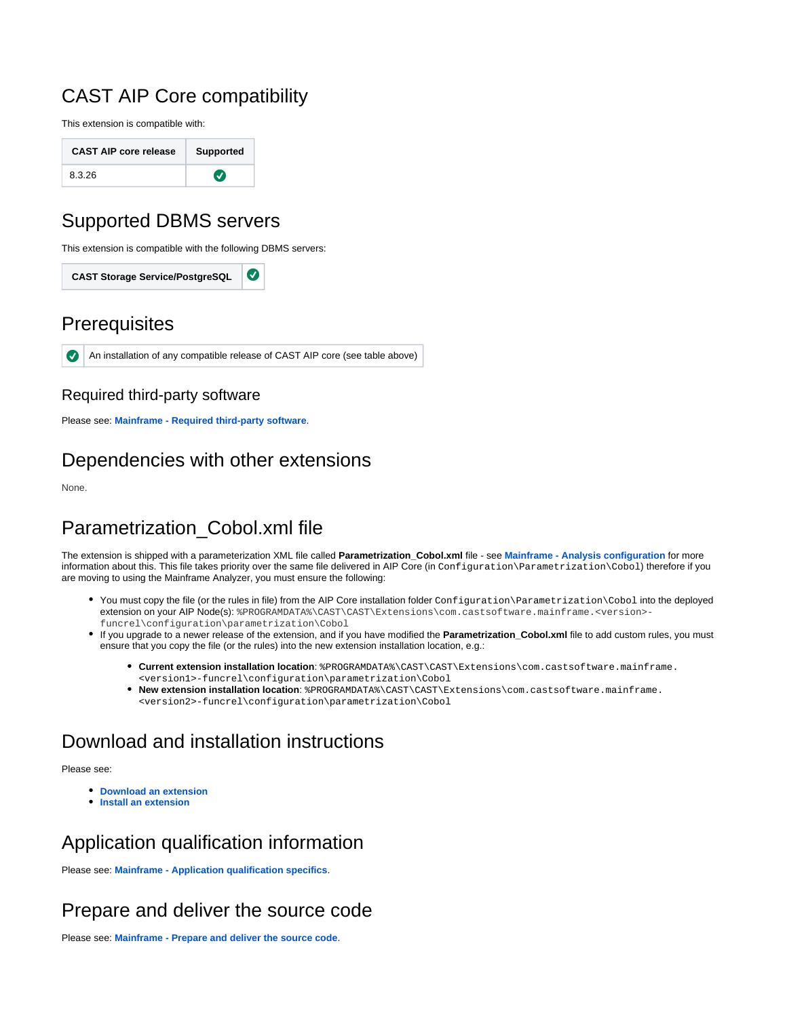## <span id="page-3-0"></span>CAST AIP Core compatibility

This extension is compatible with:

| <b>CAST AIP core release</b> | <b>Supported</b> |
|------------------------------|------------------|
| 8.3.26                       | $\bullet$        |

## <span id="page-3-1"></span>Supported DBMS servers

This extension is compatible with the following DBMS servers:

Ø **CAST Storage Service/PostgreSQL**

### <span id="page-3-2"></span>**Prerequisites**

 $\bullet$ An installation of any compatible release of CAST AIP core (see table above)

### <span id="page-3-3"></span>Required third-party software

Please see: **[Mainframe - Required third-party software](https://doc.castsoftware.com/display/TECHNOS/Mainframe+-+Required+third-party+software)**.

# <span id="page-3-4"></span>Dependencies with other extensions

None.

# <span id="page-3-5"></span>Parametrization\_Cobol.xml file

The extension is shipped with a parameterization XML file called **Parametrization\_Cobol.xml** file - see **[Mainframe - Analysis configuration](https://doc.castsoftware.com/display/TECHNOS/Mainframe+-+Analysis+configuration)** for more information about this. This file takes priority over the same file delivered in AIP Core (in Configuration\Parametrization\Cobol) therefore if you are moving to using the Mainframe Analyzer, you must ensure the following:

- You must copy the file (or the rules in file) from the AIP Core installation folder  $Configuration\Gamma$ extension on your AIP Node(s): %PROGRAMDATA%\CAST\CAST\Extensions\com.castsoftware.mainframe.<version>funcrel\configuration\parametrization\Cobol
- If you upgrade to a newer release of the extension, and if you have modified the **Parametrization\_Cobol.xml** file to add custom rules, you must ensure that you copy the file (or the rules) into the new extension installation location, e.g.:
	- **Current extension installation location**: \$PROGRAMDATA\$\CAST\CAST\Extensions\com.castsoftware.mainframe. <version1>-funcrel\configuration\parametrization\Cobol
	- **New extension installation location**: %PROGRAMDATA%\CAST\CAST\Extensions\com.castsoftware.mainframe. <version2>-funcrel\configuration\parametrization\Cobol

## <span id="page-3-6"></span>Download and installation instructions

Please see:

- **[Download an extension](https://doc.castsoftware.com/display/EXTEND/Download+an+extension)**
- **[Install an extension](https://doc.castsoftware.com/display/EXTEND/Install+an+extension)**

## <span id="page-3-7"></span>Application qualification information

Please see: **[Mainframe - Application qualification specifics](https://doc.castsoftware.com/display/TECHNOS/Mainframe+-+Application+qualification+specifics)**.

# <span id="page-3-8"></span>Prepare and deliver the source code

<span id="page-3-9"></span>Please see: **[Mainframe - Prepare and deliver the source code](https://doc.castsoftware.com/display/TECHNOS/Mainframe+-+Prepare+and+deliver+the+source+code)**.